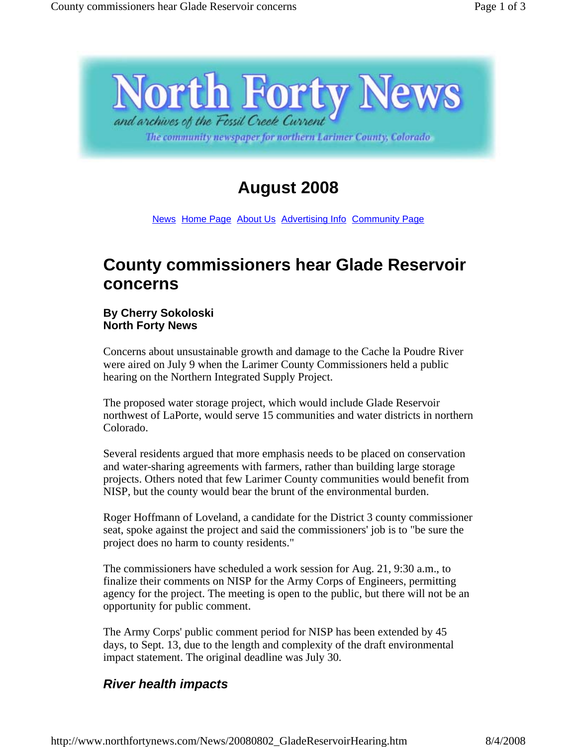

The community newspaper for northern Larimer County, Colorado

## **August 2008**

News Home Page About Us Advertising Info Community Page

## **County commissioners hear Glade Reservoir concerns**

## **By Cherry Sokoloski North Forty News**

Concerns about unsustainable growth and damage to the Cache la Poudre River were aired on July 9 when the Larimer County Commissioners held a public hearing on the Northern Integrated Supply Project.

The proposed water storage project, which would include Glade Reservoir northwest of LaPorte, would serve 15 communities and water districts in northern Colorado.

Several residents argued that more emphasis needs to be placed on conservation and water-sharing agreements with farmers, rather than building large storage projects. Others noted that few Larimer County communities would benefit from NISP, but the county would bear the brunt of the environmental burden.

Roger Hoffmann of Loveland, a candidate for the District 3 county commissioner seat, spoke against the project and said the commissioners' job is to "be sure the project does no harm to county residents."

The commissioners have scheduled a work session for Aug. 21, 9:30 a.m., to finalize their comments on NISP for the Army Corps of Engineers, permitting agency for the project. The meeting is open to the public, but there will not be an opportunity for public comment.

The Army Corps' public comment period for NISP has been extended by 45 days, to Sept. 13, due to the length and complexity of the draft environmental impact statement. The original deadline was July 30.

## *River health impacts*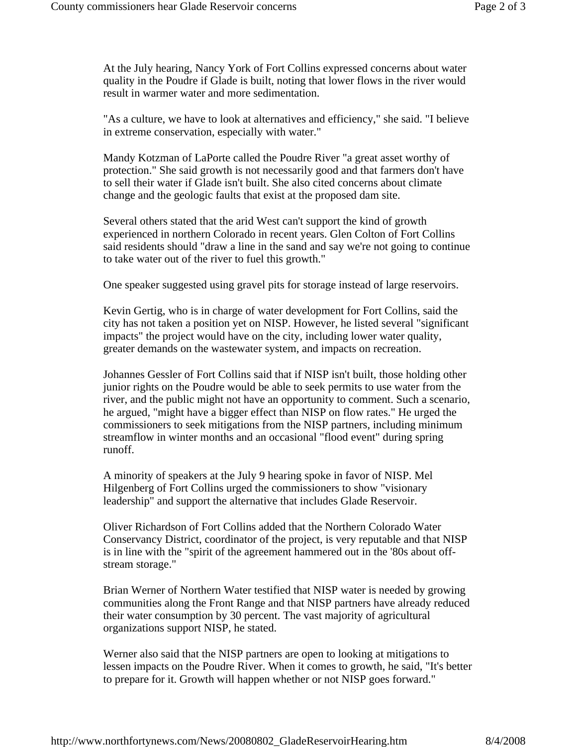At the July hearing, Nancy York of Fort Collins expressed concerns about water quality in the Poudre if Glade is built, noting that lower flows in the river would result in warmer water and more sedimentation.

"As a culture, we have to look at alternatives and efficiency," she said. "I believe in extreme conservation, especially with water."

Mandy Kotzman of LaPorte called the Poudre River "a great asset worthy of protection." She said growth is not necessarily good and that farmers don't have to sell their water if Glade isn't built. She also cited concerns about climate change and the geologic faults that exist at the proposed dam site.

Several others stated that the arid West can't support the kind of growth experienced in northern Colorado in recent years. Glen Colton of Fort Collins said residents should "draw a line in the sand and say we're not going to continue to take water out of the river to fuel this growth."

One speaker suggested using gravel pits for storage instead of large reservoirs.

Kevin Gertig, who is in charge of water development for Fort Collins, said the city has not taken a position yet on NISP. However, he listed several "significant impacts" the project would have on the city, including lower water quality, greater demands on the wastewater system, and impacts on recreation.

Johannes Gessler of Fort Collins said that if NISP isn't built, those holding other junior rights on the Poudre would be able to seek permits to use water from the river, and the public might not have an opportunity to comment. Such a scenario, he argued, "might have a bigger effect than NISP on flow rates." He urged the commissioners to seek mitigations from the NISP partners, including minimum streamflow in winter months and an occasional "flood event" during spring runoff.

A minority of speakers at the July 9 hearing spoke in favor of NISP. Mel Hilgenberg of Fort Collins urged the commissioners to show "visionary leadership" and support the alternative that includes Glade Reservoir.

Oliver Richardson of Fort Collins added that the Northern Colorado Water Conservancy District, coordinator of the project, is very reputable and that NISP is in line with the "spirit of the agreement hammered out in the '80s about offstream storage."

Brian Werner of Northern Water testified that NISP water is needed by growing communities along the Front Range and that NISP partners have already reduced their water consumption by 30 percent. The vast majority of agricultural organizations support NISP, he stated.

Werner also said that the NISP partners are open to looking at mitigations to lessen impacts on the Poudre River. When it comes to growth, he said, "It's better to prepare for it. Growth will happen whether or not NISP goes forward."